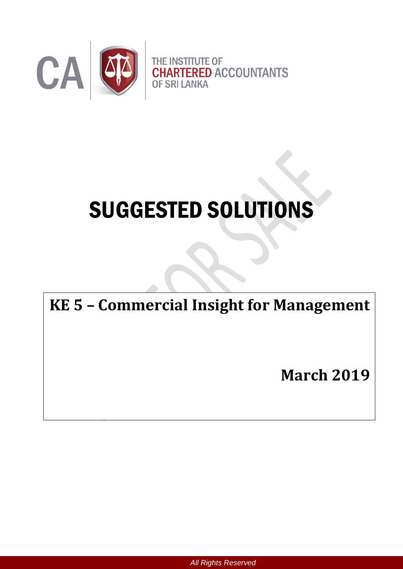

# SUGGESTED SOLUTIONS

# **KE 5 – Commercial Insight for Management**

**March 2019**

*All Rights Reserved*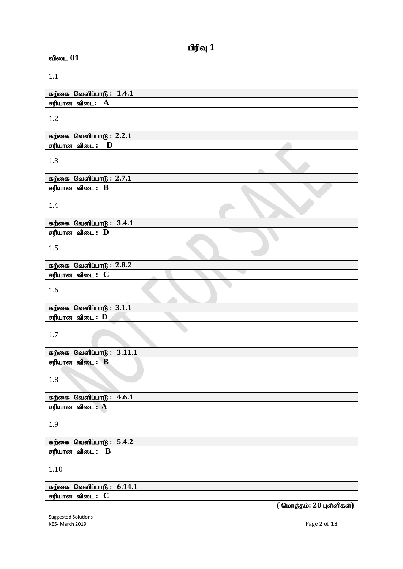விடை  $01$ 

1.1

| ் வெளிப்பா $\mathfrak{G}: \hspace{0.1cm} 1.4.1$<br>கற்கை |  |
|----------------------------------------------------------|--|
| சரியான<br>விடை:<br>A                                     |  |

1.2

| $\mathbf{a}$<br>கற்கை<br>வெளிப்பாடு<br>2.2.1 |  |
|----------------------------------------------|--|
| சரியான<br>விடை<br>≖                          |  |

1.3

| கற்கை வெளிப்பாடு $: 2.7.1$ |  |  |
|----------------------------|--|--|
| சரியான விடை : B            |  |  |

1.4

| கற்கை வெளிப்பா $6: 3.4.1$   |  |
|-----------------------------|--|
| சரியான விடை $:\,\, {\bf D}$ |  |

1.5

| கற்கை வெளிப்பாடு : $2.8.2$ |  |  |
|----------------------------|--|--|
| சரியான<br>விடை :           |  |  |
|                            |  |  |

1.6

|        | கற்கை வெளிப்பாடு : $3.1.1$ |  |  |
|--------|----------------------------|--|--|
| சரியான | விடை :                     |  |  |

1.7

|        | கற்கை வெளிப்பாடு $: 3.11.1$ |  |
|--------|-----------------------------|--|
| சரியான | $\bf{B}$<br>விடை            |  |
|        |                             |  |

1.8

|        | கற்கை வெளிப்பாடு $: 4.6.1$ |  |
|--------|----------------------------|--|
| சரியான | ் விடை : A                 |  |

1.9

| கற்கை வெளிப்பாடு : 5.4.2 |  |
|--------------------------|--|
| B<br>சரியான விடை :       |  |

1.10

கற்கை வெளிப்பாடு : **6.14.1 சரியான விடை : C** 

Suggested Solutions KE5- March 2019 Page **2** of **13**

 $\overline{6}$  ( மொத்தம்: 20 புள்ளிகள்)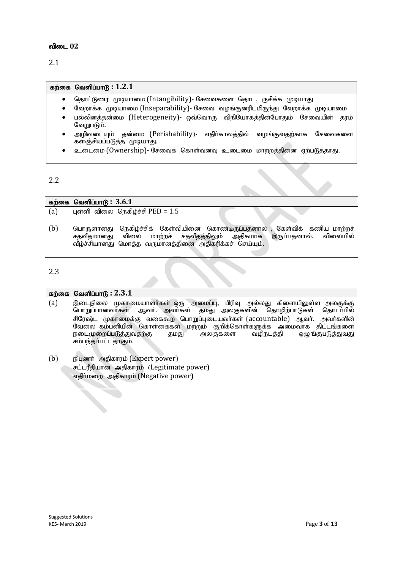#### விடை 02

2.1

#### $f$ கற்கை வெளிப்பாடு :  $1.2.1$

- தொட்டுணர முடியாமை (Intangibility)- சேவைகளை தொட, ருசிக்க முடியாது
- வேறாக்க முடியாமை (Inseparability)- சேவை வழங்குனரிடமிருந்து வேறாக்க முடியாமை
- பல்லினக்கன்மை (Heterogeneity)- வை்வொரு விநியோகக்கின்போதும் சேவையின் காம் வேறுபடும்.
- அழிவடையும் தன்மை (Perishability)- எதிர்காலத்தில் வழங்குவதற்காக சேவைகளை களஞ்சியப்படுத்த முடியாது.
- உடைமை (Ownership)- சேவைக் கொள்வனவு உடைமை மாற்றத்தினை ஏற்படுத்தாது.

#### 2.2

 $f$ கற்கை வெளிப்பாடு :  $3.6.1$ (a) புள்ளி விலை நெகிழ்ச்சி  $\text{PED} = 1.5$ 

(b) பொருளானது நெகிழ்ச்சிக் கேள்வியினை கொண்டிருப்பதனால் , கேள்விக் கணிய மாற்றச்<br>சதவீதமானது விலை மாற்றச் சதவீதத்திலும் அதிகமாக இருப்பதனால், விலையில் மாற்றச் சதவீதத்திலும் அதிகமாக வீழ்ச்சியானது மொத்த வருமானத்தினை அதிகரிக்கச் செய்யும்.

#### 2.3

#### $\overline{\text{adj}}$ தை வெளிப்பாடு :  $2.3.1$

- $(a)$  இடைநிலை முகாமையாளர்கள் ஒரு அமைப்பு, பிரிவு அல்லது கிளையிலுள்ள அலகுக்கு பொறுப்பானவர்கள் ஆவர். அவர்கள் தமது அலகுகளின் தொழிற்பாடுகள் தொடர்பில் சிரேஷ்ட முகாமைக்கு வகைகூற பொறுப்புடையவர்கள் (accountable) ஆவர். அவர்களின் வேலை கம்பனியின் கொள்கைகள் மற்றும் குறிக்கொள்களுக்க அமைவாக திட்டங்களை<br>நடைமுறைப்படுத்துவதற்கு தமது அலகுகளை வழிநடத்தி ஒழுங்குபடுத்துவது நடைமுறைப்படுத்துவதற்கு தமது சம்பந்தப்பட்டதாகும்.
- (b) நிபுணர் அதிகாரம் (Expert power) சட்டரீதியான அதிகாரம் (Legitimate power) எதிர்மறை அதிகாரம் (Negative power)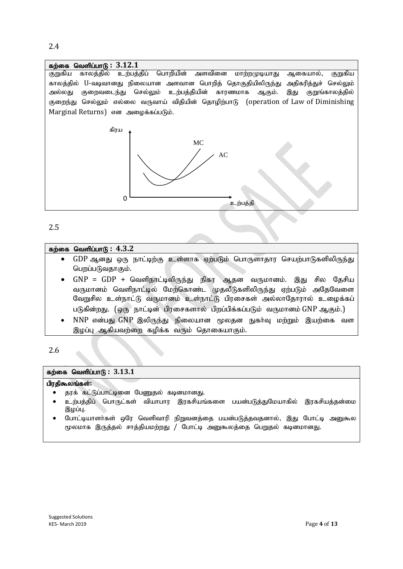## $f$ கற்கை வெளிப்பாடு:  $3.12.1$ குறுகிய காலத்தில் உற்பத்திப் பொறியின் அளவினை மாற்றமுடியாது ஆகையால், குறுகிய காலத்தில் U-வடிவானது நிலையான அளவான பொறித் தொகுதியிலிருந்து அதிகரித்துச் செல்லும் அல்லது குறைவடைந்து செல்லும் உற்பத்தியின் காரணமாக ஆகும். இது குறுங்காலத்தில் குறைந்து செல்லும் எல்லை வருவாய் விதியின் தொழிற்பாடு (operation of Law of Diminishing Marginal Returns) என அழைக்கப்படும். கிரய உற்பத்தி MC AC  $\Omega$

#### 2.5

#### கற்கை வெளிப்பாடு : 4.3.2

- GDP ஆனது ஒரு நாட்டிற்கு உள்ளாக ஏற்படும் பொருளாதார செயற்பாடுகளிலிருந்து பெறப்படுவதாகும்.
- $GNP = GDP + Q$ வளிநாட்டிலிருந்து நிகர ஆதன வருமானம். இது சில தேசிய வருமானம் வெளிநாட்டில் மேற்கொண்ட முதலீடுகளிலிருந்து ஏற்படும் அதேவேளை வேறுசில உள்நாட்டு வருமானம் உள்நாட்டு பிரசைகள் அல்லாதோரால் உழைக்கப் படுகின்றது. (ஒரு நாட்டின் பிரசைகளால் பிறப்பிக்கப்படும் வருமானம் GNP ஆகும்.)
- $NNP$  என்பது  $GNP$  இலிருந்து நிலையான மூலதன நுகர்வு மற்றும் இயற்கை வள இழப்பு ஆகியவற்றை கழிக்க வரும் தொகையாகும்.

2.6

#### $f$ கற்கை வெளிப்பாடு :  $3.13.1$

#### பிரகிகூலங்கள்:

- தரக் கட்டுப்பாட்டினை பேணுதல் கடினமானது.
- உற்பத்திப் பொருட்கள் வியாபார இரகசியங்களை பயன்படுத்துமேயாகில் இரகசியத்தன்மை இழப்பு.
- போட்டியாளா்கள் ஒரே வெளிவாரி நிறுவனத்தை பயன்படுத்தவதனால், இது போட்டி அனுகூல மூலமாக இருத்தல் சாத்தியமற்றது / போட்டி அனுகூலத்தை பெறுதல் கடினமானது.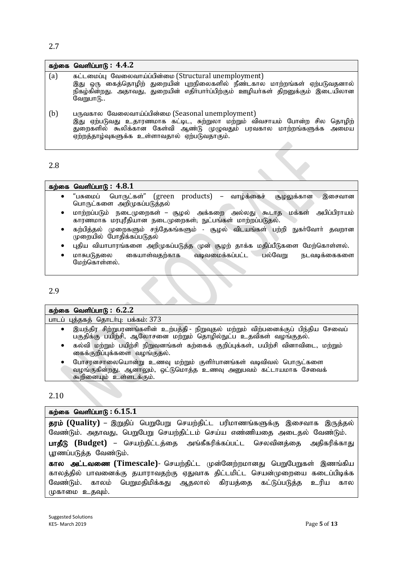#### 2.7

|     | கற்கை வெளிப்பா $G: 4.4.2$                                                                                                                                                                                                                             |
|-----|-------------------------------------------------------------------------------------------------------------------------------------------------------------------------------------------------------------------------------------------------------|
| (a) | கட்டமைப்பு வேலைவாய்ப்பின்மை (Structural unemployment)<br>இது ஒரு கைத்தொழிற் துறையின் புறநிலைகளில் நீண்டகால மாற்றங்கள் ஏற்படுவதனால்<br>நிகழ்கின்றது. அதாவது, துறையின் எதிர்பார்ப்பிற்கும் ஊழியர்கள் திறனுக்கும் இடையிலான<br>வேறுபாடு                   |
| (b) | பருவகால வேலைவாய்ப்பின்மை (Seasonal unemployment)<br>இது ஏற்படுவது உதாரணமாக கட்டிட, சுற்றுலா மற்றும் விவசாயம் போன்ற சில தொழிற்<br>துறைகளில் கூலிக்கான கேள்வி ஆண்டு முழுவதும் பரவகால மாற்றங்களுக்க அமைய<br>ஏற்றத்தாழ்வுகளுக்க உள்ளாவதால் ஏற்படுவதாகும். |

2.8

#### கற்கை வெளிப்பாடு:  $4.8.1$

- "பசுமைப் பொருட்கள்" (green products) வாழ்க்கைச் சூழலுக்கான இசைவான பொருட்களை அறிமுகப்படுத்தல்
- மாற்றப்படும் நடைமுறைகள் சூழல் அக்கறை அல்லது கூடாத மக்கள் அபிப்பிராயம் காரணமாக மரபுரீதியான நடைமுறைகள்; நுட்பங்கள் மாற்றப்படுதல்.
- கற்பித்தல் முறைகளும் சந்தேகங்களும் சூழல் விடயங்கள் பற்றி நுகர்வோர் தவறான முறையில் போதிக்கப்படுதல்
- புதிய வியாபாரங்களை அறிமுகப்படுத்த முன் சூழற் தாக்க மதிப்பீடுகளை மேற்கொள்ளல்.
- மாசுபடுதலை கையாள்வதற்காக வடிவமைக்கப்பட்ட பல்வேறு நடவடிக்கைகளை மேற்கொள்ளல்.

2.9

### $\overline{\text{m}}$ ற்கை வெளிப்பாடு: 6.2.2

| பாடப் புத்தகத் தொடர்பு: பக்கம்: 373 |  |  |  |  |
|-------------------------------------|--|--|--|--|
|-------------------------------------|--|--|--|--|

- இயந்திர சிற்றுபரணங்களின் உற்பத்தி நிறுவுதல் மற்றும் விற்பனைக்குப் பிந்திய சேவைப் பகுதிக்கு பயிற்சி, ஆலோசனை மற்றும் தொழில்நுட்ப உதவிகள் வழங்குதல்.
- கல்வி மற்றும் பயிற்சி நிறுவனங்கள் கற்கைக் குறிப்புக்கள், பயிற்சி வினாவிடை, மற்றும் கைக்குறிப்புக்களை வழங்குதல்.
- போசானசாலையொன்று உணவு மற்றும் குளிர்பானங்கள் வடிவிவல் பொருட்களை வழங்குகின்றது. ஆனாலும், ஒட்டுமொத்த உணவு அனுபவம் கட்டாயமாக சேவைக் `கூறினையும் உள்ளடக்கும்.

2.10

#### $f$ கற்கை வெளிப்பாடு :  $6.15.1$

**தரம் (Quality) –** இறுதிப் பெறுபேறு செயற்திட்ட பரிமாணங்களுக்கு இசைவாக இருத்தல் வேண்டும். அதாவது, பெறுபேறு செயற்திட்டம் செய்ய எண்ணியதை அடைதல் வேண்டும்.

பாதீடு (Budget) – செயற்திட்டத்தை அங்கீகரிக்கப்பட்ட செலவினத்தை அதிகரிக்காது பூரணப்படுத்த வேண்டும்.

கால அட்டவணை (Timescale)- செயற்திட்ட முன்னேற்றமானது பெறுபேறுகள் இணங்கிய காலத்தில் பாவனைக்கு தயாராவதற்கு ஏதுவாக திட்டமிட்ட செயன்முறையை கடைப்பிடிக்க வேண்டும். காலம் பெறுமதிமிக்கது ஆதலால் கிரயத்தை கட்டுப்படுத்த உரிய கால முகாமை உதவும்.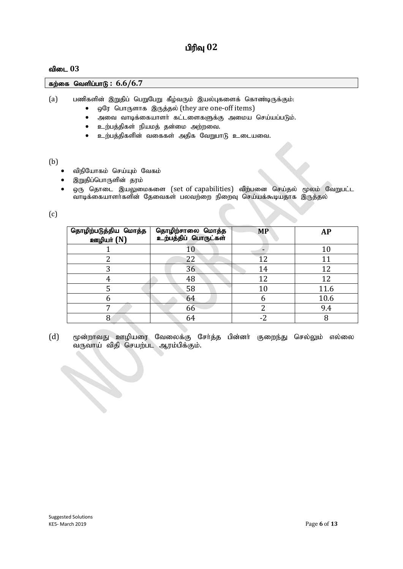#### பிரிவு  $02$

#### $\theta$ ிடை 03

கற்கை வெளிப்பாடு : 6.6/6.7

(a) பணிகளின் இறுதிப் பெறுபேறு கீழ்வரும் இயல்புகளைக் கொண்டிருக்கும்:

- ஒரே பொருளாக இருத்தல் (they are one-off items)
- $\bullet$  அவை வாடிக்கையாளா் கட்டளைகளுக்கு அமைய செய்யப்படும்.
- உற்பத்திகள் நியமத் தன்மை அற்றவை.
- $\bullet$  உற்பத்திகளின் வகைகள் அதிக வேறுபாடு உடையவை.

(b)

- விநியோகம் செய்யும் வேகம்
- இறுதிப்பொருளின் தரம்

 $\bullet$  ஒரு தொடை இயலுமைகளை (set of capabilities) விற்பனை செய்தல் மூலம் வேறுபட்ட ்வாடிக்கையாளர்களின் தேவைகள் பலவற்றை நிறைவு செய்யக்கூடியதாக இருத்தல்

(c)

| தொழிற்படுத்திய மொத்த<br>ஊழியர் (N) | தொழிற்சாலை மொத்த<br>உற்பத்திப் பொருட்கள் | <b>MP</b> | AP   |
|------------------------------------|------------------------------------------|-----------|------|
|                                    | 10                                       |           | 10   |
| ⌒                                  | 22                                       | ר ו       |      |
| 3                                  | 36                                       | 14        | 12   |
|                                    | 48                                       | 12        | 12   |
|                                    | 58                                       | $10\,$    | 11.6 |
| b                                  | 64                                       | 6         | 10.6 |
| 7                                  | 66                                       |           | 9.4  |
| 8                                  | 64                                       | $-2$      |      |

 $(d)$  மூன்றாவது ஊழியரை வேலைக்கு சேர்த்த பின்னர் குறைந்து செல்லும் எல்லை வருவாய் விதி செயற்பட ஆரம்பிக்கும்.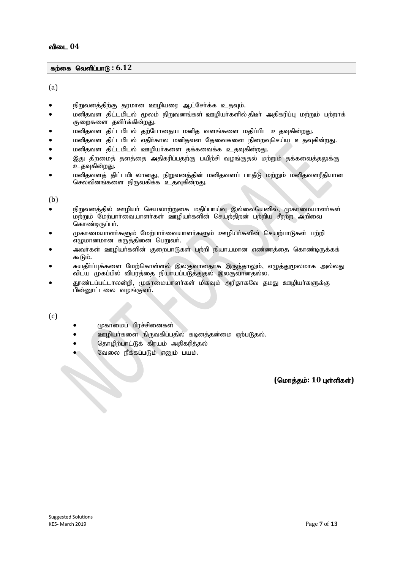#### கற்கை வெளிப்பாடு : 6.12

(a)

- நிறுவனத்திற்கு தரமான ஊழியரை ஆட்சேர்க்க உதவும்.
- மனிதவள திட்டமிடல் மூலம் நிறுவனங்கள் ஊழியா்களில் திடீா் அதிகரிப்பு மற்றும் பற்றாக் குறைகளை தவிர்க்கின்றது.
- மனிதவள திட்டமிடல் தற்போதைய மனித வளங்களை மதிப்பிட உதவுகின்றது.
- மனிதவள திட்டமிடல் எதிர்கால மனிதவள தேவைகளை நிறைவுசெய்ய உதவுகின்றது.
- மனிதவள திட்டமிடல் ஊழியர்களை தக்கவைக்க உதவுகின்றது.
- இது திறமைத் தளத்தை அதிகரிப்பதற்கு பயிற்சி வழங்குதல் மற்றும் தக்கவைத்தலுக்கு உதவுகின்றது.
- மனிதவளத் திட்டமிடலானது, நிறுவனத்தின் மனிதவளப் பாதீடு மற்றும் மனிதவளரீதியான செலவினங்களை நிருவகிக்க உதவுகின்றது.

(b)

- நிறுவனத்தில் ஊழியர் செயலாற்றுகை மதிப்பாய்வு இல்லையெனில், முகாமையாளர்கள் மற்றும் மேற்பார்வையாளர்கள் ஊழியர்களின் செயற்திறன் பற்றிய சீரற்ற அறிவை கொண்டிருப்பர்.
- முகாமையாளர்களும் மேற்பார்வையாளர்களும் ஊழியர்களின் செயற்பாடுகள் பற்றி எழுமானமான கருத்தினை பெறுவர்.
- அவர்கள் ஊழியர்களின் குறைபாடுகள் பற்றி நியாயமான எண்ணத்தை கொண்டிருக்கக் கூடும்.
- சுயதீா்ப்புக்களை மேற்கொள்ளல் இலகுவானதாக இருந்தாலும், எழுத்துமூலமாக அல்லது விடய முகப்பில் விபரத்தை நியாயப்படுத்துதல் இலகுவானதல்ல.
- தாண்டப்பட்டாலன்றி, முகாமையாளர்கள் மிகவும் அரிதாகவே தமது ஊழியர்களுக்கு பின்னூட்டலை வழங்குவர்.

(c)

- முகாமைப் பிரச்சினைகள்
- ஊழியா்களை நிருவகிப்பதில் கடினத்தன்மை ஏற்படுதல்.
- 
- ் தொழிற்பாட்டுக் கிரயம் அதிகரித்தல்<br>மேலை நீக்கப்படும் எனும் பயம்.<br>பாம்.<br>பாம். வேலை நீக்கப்படும் எனும் பயம்.

 $($ மொத்தம்: 10 புள்ளிகள்)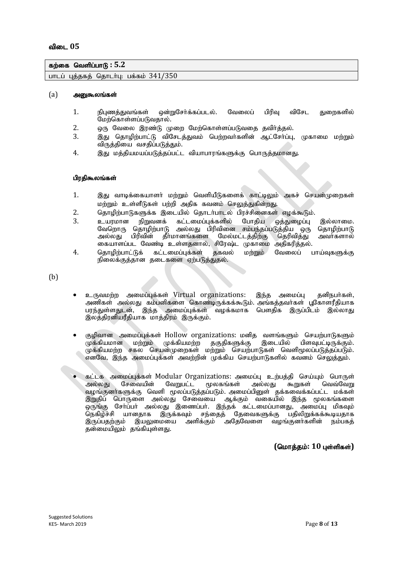#### $\frac{1}{2}$ கற்கை வெளிப்பாடு : 5.2

பாடப் புத்தகத் தொடர்பு: பக்கம்  $341/350$ 

#### $(a)$  அனுகூலங்கள்

- 1. நிபணக்குவங்கள் ஒன்றுசேர்க்கப்படல். வேலைப் பிரிவ விசேட குறைகளில் மேற்கொள்ளப்படுவதால்.
- 2. xU Ntiy ,uz;L Kiw Nkw;nfhs ;sg;gLtij jtph;j;jy ;.
- இது தொழிற்பாட்டு விசேடத்துவம் பெற்றவர்களின் ஆட்சேர்ப்பு, முகாமை மற்றும் விருத்தியை வசதிப்படுத்தும்.
- 4. இது மத்தியமயப்படுத்தப்பட்ட வியாபாரங்களுக்கு பொருத்தமானது.

#### பிரதிகூலங்கள்

- 1. இது வாடிக்கையாளர் மற்றும் வெளியீடுகளைக் காட்டிலும் அகச் செயன்முறைகள் மற்றும் உள்ளீடுகள் பற்றி அதிக கவனம் செலுத்துகின்றது.
- 2. தொழிற்பாடுகளுக்க இடையில் தொடர்பாடல் பிரச்சினைகள் எழக்கூடும்.
- 3. caukhd epWtdf; fl;likg;Gf;fspy; Nghjpa xj;Jiog;G ,y;yhik. வேறொரு தொழிற்பாடு அல்லது பிரிவினை சம்பந்தப்படுத்திய ஒரு தொழிற்பாடு<br>அல்லது பிரிவின் தீா்மானங்களை மேல்மட்டத்திற்கு தெரிவித்து அவா்களால் தீர்மானங்களை கையாளப்பட வேண்டி உள்ளதனால், சிரேஷ்ட முகாமை அதிகரித்தல்.
- 4. தொழிற்பாட்டுக் கட்டமைப்புக்கள் தகவல் மற்றும் வேலைப் பாய்வுகளுக்கு நிலைக்குத்தான தடைகளை ஏற்படுத்துதல்.

(b)

- உருவமற்ற அமைப்புக்கள் Virtual organizations: இந்த அமைப்பு தனிநபர்கள், அணிகள் அல்லது கம்பனிகளை கொண்டிருக்கக்கூடும். அங்கத்தவா்கள் பூகோளரீதியாக பரந்துள்ளதுடன், இந்த அமைப்புக்கள் வழக்கமாக பௌதிக இருப்பிடம் இல்லாது இலத்திரனியரீதியாக மாத்திரம் இருக்கும்.
- குழிவான அமைப்புக்கள் Hollow organizations: மனித வளங்களும் செயற்பாடுகளும்<br>முக்கியமான மற்றும் முக்கியமற்ற தகுதிகளுக்கு இடையில் பிளவுபட்டிருக்கும்.  $\mu$ க்கியமான மற்றும் முக்கியமற்ற தகுதிகளுக்கு முக்கியமற்ற சகல செயன்முறைகள் மற்றும் செயற்பாடுகள் வெளிமூலப்படுத்தப்படும். எனவே, இந்த அமைப்புக்கள் அவற்றின் முக்கிய செயற்பாடுகளில் கவனம் செலுத்தும்.
- கட்டக அமைப்புக்கள் Modular Organizations: அமைப்பு உற்பத்தி செய்யும் பொருள்<br>அல்லது சேவையின் வேறுபட்ட மூலகங்கள் அல்லது கூறுகள் வெவ்வேறு அல்லது சேவையின் வேறுபட்ட மூலகங்கள் அல்லது கூறுகள் வெவ்வேறு வழங்குனர்களுக்கு வெளி மூலப்படுத்தப்படும். அமைப்பினுள் தக்கவைக்கப்பட்ட மக்கள் இறுதிப் பொருளை அல்லது சேவையை ஆக்கும் வகையில் இந்த மூலகங்களை ஒருங்கு சோ்ப்பா் அல்லது இணைப்பா். இந்தக் கட்டமைப்பானது, அமைப்பு மிகவும்<br>நெகிழ்ச்சி யானதாக இருக்கவும் சந்தைத் தேவைகளுக்கு பதிலிறுக்கக்கூடியதாக நெகிழ்ச்சி யானதாக இருக்கவும் சந்தைத் தேவைகளுக்கு பதிலிறுக்கக்கூடியதாக<br>இருப்பதற்கும் இயலுமையை அளிக்கும் அதேவேளை வழங்குனா்களின் நம்பகத் ,<br>இயலுமையை அளிக்கும் தன்மையிலும் தங்கியுள்ளது.

#### $($ மொத்தம்: 10 புள்ளிகள்)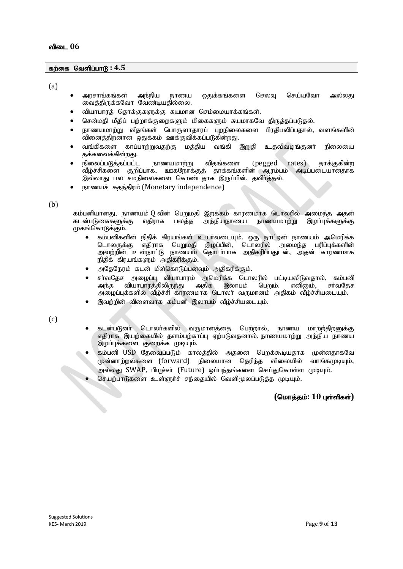#### fw;if ntspg;ghL **: 4.5**

 $(a)$ 

- அரசாங்கங்கள் அந்நிய நாணய ஒதுக்கங்களை செலவு செய்யவோ அல்லது வைத்திருக்கவோ வேண்டியதில்லை.
- வியாபாரத் தொக்குகளுக்கு சுயமான செம்மையாக்கங்கள்.
- சென்மதி மீதிப் பற்றாக்குறைகளும் மிகைகளும் சுயமாகவே திருத்தப்படுதல்.
- நாணயமாற்று வீதங்கள் பொருளாதாரப் புறநிலைகளை பிரதிபலிப்பதால், வளங்களின் .<br>வினைத்திறனான ஒதுக்கம் ஊக்குவிக்கப்படுகின்றது.
- வங்கிகளை காப்பாற்றுவதற்கு மக்கிய வங்கி இறுகி உகவிவழங்குனர் நிலையை தக்கவைக்கின்றது.
- நிலைப்படுத்தப்பட்ட நாணயமாற்று விதங்களை (pegged rates) தாக்குகின்ற ்வீழ்ச்சிகளை குறிப்பாக, ஊகநோக்குத் தாக்கங்களின் ஆரம்பம் அடிப்படையானதாக இல்லாது பல சமநிலைகளை கொண்டதாக இருப்பின், தவிர்த்தல்.
- நாணயச் சுதந்திரம் (Monetary independence)

(b)

கம்பனியானது, நாணயம்(Q வின் பெறுமதி இறக்கம் காரணமாக டொலரில் அமைந்த அதன்<br>கடன்படுகைகளுக்கு எதிராக பலத்த அந்நியநாணய நாணயமாற்று இழப்புக்களுக்கு நாணயமாற்று இழப்புக்களுக்கு  $(\mathfrak{p}$ கங்கொடுக்கும்.

- கம்பனிகளின் நிதிக் கிரயங்கள் உயர்வடையும். ஒரு நாட்டின் நாணயம் அமெரிக்க<br>டொலருக்கு எதிராக பெறுமதி இழப்பின், டொலரில் அமைந்த பரிப்புக்களின் இழப்பின், டொலரில் அமைந்த பரிப்புக்களின் அவற்றின் உள்நாட்டு நாணயம் தொடர்பாக அகிகரிப்பதுடன், அதன் காரணமாக நிதிக் கிரயங்களும் அதிகரிக்கும்.
- அதேநேரம் கடன் மீள்கொடுப்பனவும் அதிகரிக்கும்.
- சா்வதேச அழைப்பு வியாபாரம் அமெரிக்க டொலரில் பட்டியலிடுவதால், கம்பனி<br>அந்த வியாபாரத்திலிருந்து அதிக இலாபம் பெறும். எனினும், சா்வதேச வியாபாரத்திலிருந்து அழைப்புக்களில் வீழ்ச்சி காரணமாக டொலா் வருமானம் அதிகம் வீழ்ச்சியடையும்.
- இவற்றின் விளைவாக கம்பனி இலாபம் வீம்ச்சியடையும்.

(c)

- கடன்படுனா் டொலா்களில் வருமானத்தை பெற்றால், நாணய மாறற்திறனுக்கு எதிராக இயற்கையில் தளம்பற்காப்பு ஏற்படுவதனால் நாணயமாற்று அந்நிய நாணய இழப்புக்களை குறைக்க முடியும்.
- கம்பனி USD தேவைப்படும் காலத்தில் அதனை பெறக்கூடியதாக முன்னதாகவே முன்னாற்றல்களை (forward) நிலையான தெரிந்த விலையில் வாங்கமுடியும், அல்லது SWAP, பியூச்சர் (Future) ஒப்பந்தங்களை செய்துகொள்ள முடியும்.
- செயற்பாடுகளை உள்ளுர்ச் சந்தையில் வெளிமூலப்படுத்த முடியும்.

#### $($ மொக்கம்: 10 பள்ளிகள்)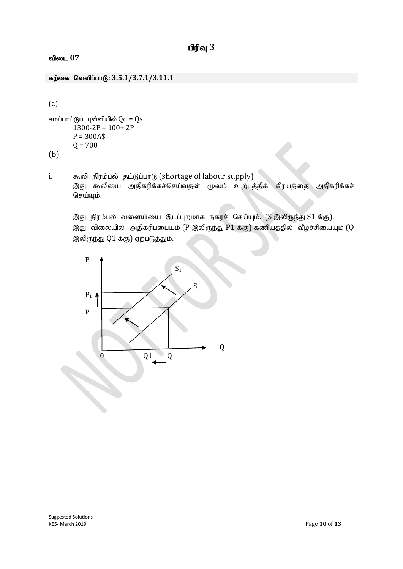**விடை 07** 

#### fw;if ntspg;ghL**: 3.5.1/3.7.1/3.11.1**

(a)

```
சமப்பாட்டுப் புள்ளியில் Qd = Qs1300-2P = 100+2PP = 300A$Q = 700
```
(b)

i. கூலி நிரம்பல் தட்டுப்பாடு (shortage of labour supply) இது கூலியை அதிகரிக்கச்செய்வதன் மூலம் உற்பத்திக் கிரயத்தை அதிகரிக்கச் செய்யும்.

இது நிரம்பல் வளையியை இடப்புறமாக நகரச் செய்யும். (S இலிருந்து S1 க்கு). இது விலையில் அதிகரிப்பையும் ( $P$  இலிருந்து  $P1$  க்கு) கணியத்தில் வீழ்ச்சியையும் ( $Q$ இலிருந்து  $Q1$ க்கு) ஏற்படுத்தும்.

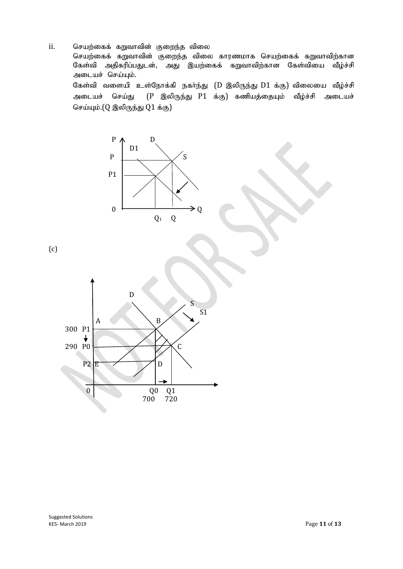ii. செயற்கைக் கறுவாவின் குறைந்த விலை

செயற்கைக் கறுவாவின் குறைந்த விலை காரணமாக செயற்கைக் கறுவாவிற்கான<br>கேள்வி அகிகரிப்பதுடன், அது இயற்கைக் கறுவாவிற்கான கேள்வியை வீம்ச்சி அதிகரிப்பதுடன், அது இயற்கைக் கறுவாவிற்கான கேள்வியை வீழ்ச்சி அடையச் செய்யும். கேள்வி வளையி உள்நோக்கி நகர்ந்து  $(D$  இலிருந்து  $D1$  க்கு) விலையை வீழ்ச்சி அடையச் செய்து (P இலிருந்து P1 க்கு) கணியத்தையும் வீழ்ச்சி அடையச்

செய்யும். $(Q \otimes \mathfrak{d} \otimes \mathfrak{g} \otimes Q1 \; \dot{\mathfrak{s}} \otimes Q)$ 



(c)

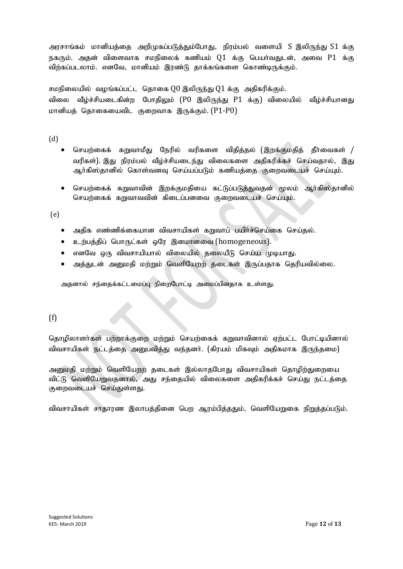அரசாங்கம் மானியத்தை அறிமுகப்படுத்தும்போது, நிரம்பல் வளையி S இலிருந்து S1 க்கு நகரும். அதன் விளைவாக சமநிலைக் கணியம்  $Q1$  க்கு பெயர்வதுடன், அவை  $P1$  க்கு விற்கப்படலாம். எனவே, மானியம் இரண்டு தாக்கங்களை கொண்டிருக்கும்.

சமநிலையில் வழங்கப்பட்ட தொகை  $Q0$  இலிருந்து  $Q1$ க்கு அதிகரிக்கும். விலை வீழ்ச்சியடைகின்ற போதிலும் (P0 இலிருந்து P1 க்கு) விலையில் வீழ்ச்சியானது மானியத் தொகையைவிட குறைவாக இருக்கும்.  $(P1-P0)$ 

(d)

- செயற்கைக் கறுவாமீது நேரில் வரிகளை விதித்தல் (இறக்குமதித் தீா்வைகள் / வரிகள்). இது நிரம்பல் வீம்ச்சியடைந்து விலைகளை அதிகரிக்கச் செய்வதால், இது ஆர்கிஸ்தானில் கொள்வனவு செய்யப்படும் கணியத்தை குறைவடையச் செய்யும்.
- செயற்கைக் கறுவாவின் இறக்குமதியை கட்டுப்படுத்துவதன் மூலம் ஆர்கிஸ்தானில் செயற்கைக் கறுவாவவின் கிடைப்பனவை குறைவடையச் செய்யும்.

(e)

- அதிக எண்ணிக்கையான விவசாயிகள் கறுவாப் பயிர்ச்செய்கை செய்தல்.
- $\bullet$  உற்பத்திப் பொருட்கள் ஒரே இனமானவை (homogeneous).
- $\bullet$  எனவே ஒரு விவசாயியால் விலையில் தலையீடு செய்ய முடியாது.
- $\bullet$  அத்துடன் அனுமதி மற்றும் வெளியேறற் தடைகள் இருப்பதாக தெரியவில்லை.

அதனால் சந்தைக்கட்டமைப்பு நிறைபோட்டி அமைப்பினதாக உள்ளது.

#### (f)

தொழிலாளர்கள் பற்றாக்குறை மற்றும் செயற்கைக் கறுவாவினால் ஏற்பட்ட போட்டியினால் விவசாயிகள் நட்டத்தை அனுபவித்து வந்தனர். (கிரயம் மிகவும் அதிகமாக இருந்தமை)

அனுமதி மற்றும் வெளியேறற் தடைகள் இல்லாதபோது விவசாயிகள் தொழிற்துறையை விட்டு வெளியேறுவதனால், அது சந்தையில் விலைகளை அதிகரிக்கச் செய்து நட்டத்தை குறைவடையச் செய்துள்ளது.

விவசாயிகள் சாதாரண இலாபத்தினை பெற ஆரம்பித்ததும், வெளியேறுகை நிறுத்தப்படும்.